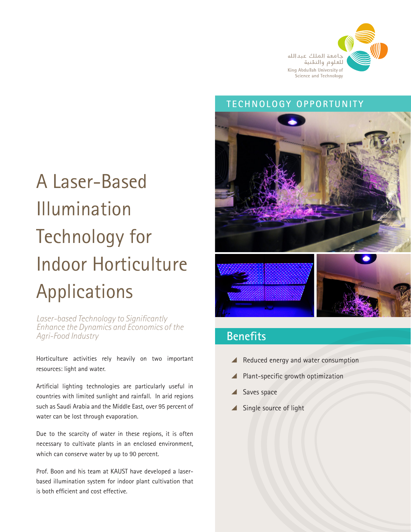

#### **TECHNOLOGY OPPORTUNITY**

# A Laser-Based Illumination Technology for Indoor Horticulture Applications

*Laser-based Technology to Significantly Enhance the Dynamics and Economics of the Agri-Food Industry*

Horticulture activities rely heavily on two important resources: light and water.

Artificial lighting technologies are particularly useful in countries with limited sunlight and rainfall. In arid regions such as Saudi Arabia and the Middle East, over 95 percent of water can be lost through evaporation.

Due to the scarcity of water in these regions, it is often necessary to cultivate plants in an enclosed environment, which can conserve water by up to 90 percent.

Prof. Boon and his team at KAUST have developed a laserbased illumination system for indoor plant cultivation that is both efficient and cost effective.



## **Benefits**

- $\blacktriangle$  Reduced energy and water consumption
- $\blacksquare$  Plant-specific growth optimization
- Saves space
- ▲ Single source of light